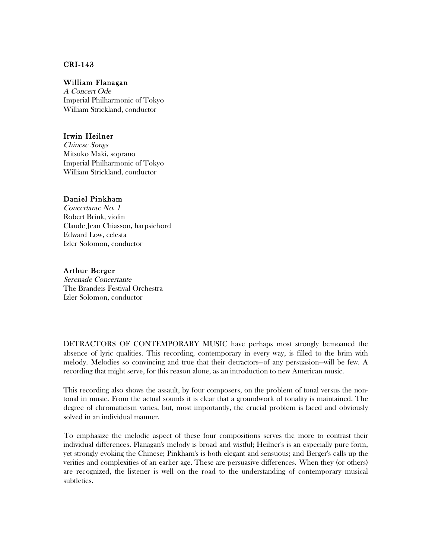# CRI-143

### William Flanagan

A Concert Ode Imperial Philharmonic of Tokyo William Strickland, conductor

### Irwin Heilner

Chinese Songs Mitsuko Maki, soprano Imperial Philharmonic of Tokyo William Strickland, conductor

## Daniel Pinkham

Concertante No. 1 Robert Brink, violin Claude Jean Chiasson, harpsichord Edward Low, celesta Izler Solomon, conductor

## Arthur Berger

Serenade Concertante The Brandeis Festival Orchestra Izler Solomon, conductor

DETRACTORS OF CONTEMPORARY MUSIC have perhaps most strongly bemoaned the absence of lyric qualities. This recording, contemporary in every way, is filled to the brim with melody. Melodies so convincing and true that their detractors—of any persuasion—will be few. A recording that might serve, for this reason alone, as an introduction to new American music.

This recording also shows the assault, by four composers, on the problem of tonal versus the nontonal in music. From the actual sounds it is clear that a groundwork of tonality is maintained. The degree of chromaticism varies, but, most importantly, the crucial problem is faced and obviously solved in an individual manner.

To emphasize the melodic aspect of these four compositions serves the more to contrast their individual differences. Flanagan's melody is broad and wistful; Heilner's is an especially pure form, yet strongly evoking the Chinese; Pinkham's is both elegant and sensuous; and Berger's calls up the verities and complexities of an earlier age. These are persuasive differences. When they (or others) are recognized, the listener is well on the road to the understanding of contemporary musical subtleties.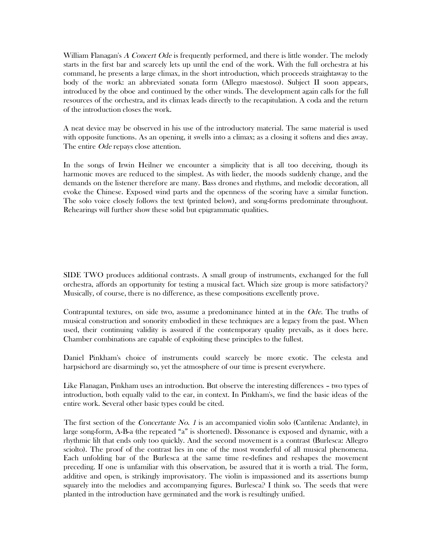William Flanagan's A Concert Ode is frequently performed, and there is little wonder. The melody starts in the first bar and scarcely lets up until the end of the work. With the full orchestra at his command, he presents a large climax, in the short introduction, which proceeds straightaway to the body of the work: an abbreviated sonata form (Allegro maestoso). Subject II soon appears, introduced by the oboe and continued by the other winds. The development again calls for the full resources of the orchestra, and its climax leads directly to the recapitulation. A coda and the return of the introduction closes the work.

A neat device may be observed in his use of the introductory material. The same material is used with opposite functions. As an opening, it swells into a climax; as a closing it softens and dies away. The entire *Ode* repays close attention.

In the songs of Irwin Heilner we encounter a simplicity that is all too deceiving, though its harmonic moves are reduced to the simplest. As with lieder, the moods suddenly change, and the demands on the listener therefore are many. Bass drones and rhythms, and melodic decoration, all evoke the Chinese. Exposed wind parts and the openness of the scoring have a similar function. The solo voice closely follows the text (printed below), and song-forms predominate throughout. Rehearings will further show these solid but epigrammatic qualities.

SIDE TWO produces additional contrasts. A small group of instruments, exchanged for the full orchestra, affords an opportunity for testing a musical fact. Which size group is more satisfactory? Musically, of course, there is no difference, as these compositions excellently prove.

Contrapuntal textures, on side two, assume a predominance hinted at in the Ode. The truths of musical construction and sonority embodied in these techniques are a legacy from the past. When used, their continuing validity is assured if the contemporary quality prevails, as it does here. Chamber combinations are capable of exploiting these principles to the fullest.

Daniel Pinkham's choice of instruments could scarcely be more exotic. The celesta and harpsichord are disarmingly so, yet the atmosphere of our time is present everywhere.

Like Flanagan, Pinkham uses an introduction. But observe the interesting differences – two types of introduction, both equally valid to the ear, in context. In Pinkham's, we find the basic ideas of the entire work. Several other basic types could be cited.

The first section of the *Concertante No. 1* is an accompanied violin solo (Cantilena: Andante), in large song-form, A-B-a (the repeated "a" is shortened). Dissonance is exposed and dynamic, with a rhythmic lilt that ends only too quickly. And the second movement is a contrast (Burlesca: Allegro sciolto). The proof of the contrast lies in one of the most wonderful of all musical phenomena. Each unfolding bar of the Burlesca at the same time re-defines and reshapes the movement preceding. If one is unfamiliar with this observation, be assured that it is worth a trial. The form, additive and open, is strikingly improvisatory. The violin is impassioned and its assertions bump squarely into the melodies and accompanying figures. Burlesca? I think so. The seeds that were planted in the introduction have germinated and the work is resultingly unified.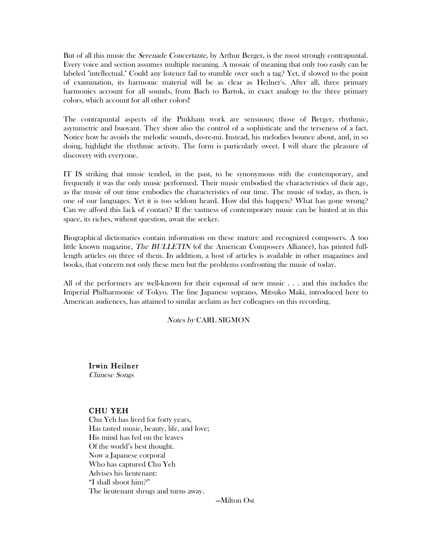But of all this music the *Serenade Concertante*, by Arthur Berger, is the most strongly contrapuntal. Every voice and section assumes multiple meaning. A mosaic of meaning that only too easily can be labeled "intellectual." Could any listener fail to stumble over such a tag? Yet, if slowed to the point of examination, its harmonic material will be as clear as Heilner's. After all, three primary harmonies account for all sounds, from Bach to Bartok, in exact analogy to the three primary colors, which account for all other colors!

The contrapuntal aspects of the Pinkham work are sensuous; those of Berger, rhythmic, asymmetric and buoyant. They show also the control of a sophisticate and the terseness of a fact. Notice how he avoids the melodic sounds, do-re-mi. Instead, his melodies bounce about, and, in so doing, highlight the rhythmic activity. The form is particularly sweet. I will share the pleasure of discovery with everyone.

IT IS striking that music tended, in the past, to be synonymous with the contemporary, and frequently it was the only music performed. Their music embodied the characteristics of their age, as the music of our time embodies the characteristics of our time. The music of today, as then, is one of our languages. Yet it is too seldom heard. How did this happen? What has gone wrong? Can we afford this lack of contact? If the vastness of contemporary music can be hinted at in this space, its riches, without question, await the seeker.

Biographical dictionaries contain information on these mature and recognized composers. A too little known magazine, The BULLETIN (of the American Composers Alliance), has printed fulllength articles on three of them. In addition, a host of articles is available in other magazines and books, that concern not only these men but the problems confronting the music of today.

All of the performers are well-known for their espousal of new music . . . and this includes the Imperial Philharmonic of Tokyo. The fine Japanese soprano, Mitsuko Maki, introduced here to American audiences, has attained to similar acclaim as her colleagues on this recording.

### Notes by CARL SIGMON

Irwin Heilner Chinese Songs

# CHU YEH

Chu Yeh has lived for forty years, Has tasted music, beauty, life, and love; His mind has fed on the leaves Of the world's best thought. Now a Japanese corporal Who has captured Chu Yeh Advises his lieutenant: "I shall shoot him?" The lieutenant shrugs and turns away.

—Milton Ost